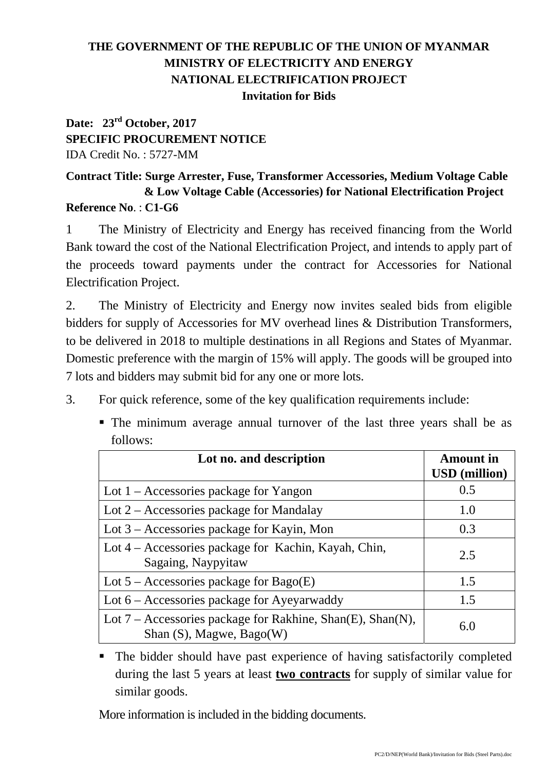## **THE GOVERNMENT OF THE REPUBLIC OF THE UNION OF MYANMAR MINISTRY OF ELECTRICITY AND ENERGY NATIONAL ELECTRIFICATION PROJECT Invitation for Bids**

## **Date: 23rd October, 2017 SPECIFIC PROCUREMENT NOTICE**  IDA Credit No. : 5727-MM

## **Contract Title: Surge Arrester, Fuse, Transformer Accessories, Medium Voltage Cable & Low Voltage Cable (Accessories) for National Electrification Project Reference No**. : **C1-G6**

1 The Ministry of Electricity and Energy has received financing from the World Bank toward the cost of the National Electrification Project, and intends to apply part of the proceeds toward payments under the contract for Accessories for National Electrification Project.

2. The Ministry of Electricity and Energy now invites sealed bids from eligible bidders for supply of Accessories for MV overhead lines & Distribution Transformers, to be delivered in 2018 to multiple destinations in all Regions and States of Myanmar. Domestic preference with the margin of 15% will apply. The goods will be grouped into 7 lots and bidders may submit bid for any one or more lots.

- 3. For quick reference, some of the key qualification requirements include:
	- The minimum average annual turnover of the last three years shall be as follows:

| Lot no. and description                                                                        | <b>Amount</b> in<br><b>USD</b> (million) |
|------------------------------------------------------------------------------------------------|------------------------------------------|
| Lot $1 -$ Accessories package for Yangon                                                       | 0.5                                      |
| Lot $2 -$ Accessories package for Mandalay                                                     | 1.0                                      |
| Lot 3 - Accessories package for Kayin, Mon                                                     | 0.3                                      |
| Lot 4 – Accessories package for Kachin, Kayah, Chin,<br>Sagaing, Naypyitaw                     | 2.5                                      |
| Lot $5$ – Accessories package for Bago(E)                                                      | 1.5                                      |
| Lot 6 – Accessories package for Ayeyarwaddy                                                    | 1.5                                      |
| Lot $7$ – Accessories package for Rakhine, Shan(E), Shan(N),<br>Shan $(S)$ , Magwe, Bago $(W)$ | 6.0                                      |

 The bidder should have past experience of having satisfactorily completed during the last 5 years at least **two contracts** for supply of similar value for similar goods.

More information is included in the bidding documents.